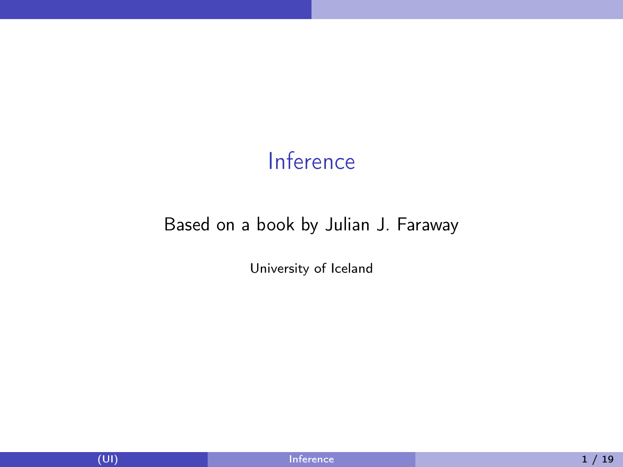### Inference

#### <span id="page-0-0"></span>Based on a book by Julian J. Faraway

University of Iceland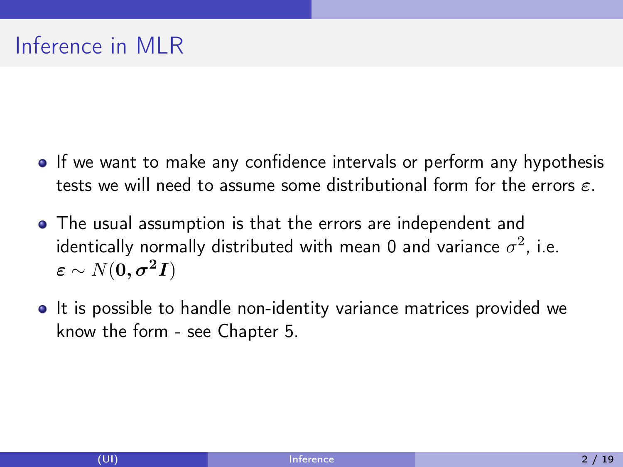# Inference in MLR

- If we want to make any confidence intervals or perform any hypothesis tests we will need to assume some distributional form for the errors  $\varepsilon$ .
- The usual assumption is that the errors are independent and identically normally distributed with mean 0 and variance  $\sigma^2$ , i.e.  $\varepsilon \sim N(0, \sigma^2 I)$
- It is possible to handle non-identity variance matrices provided we know the form - see Chapter 5.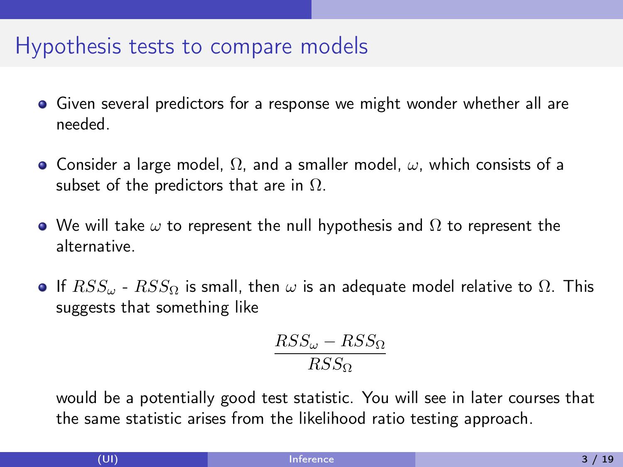#### Hypothesis tests to compare models

- Given several predictors for a response we might wonder whether all are needed.
- Consider a large model,  $\Omega$ , and a smaller model,  $\omega$ , which consists of a subset of the predictors that are in  $\Omega$ .
- $\bullet$  We will take  $\omega$  to represent the null hypothesis and  $\Omega$  to represent the alternative.
- **If**  $RSS_{\omega}$   $RSS_{\Omega}$  is small, then  $\omega$  is an adequate model relative to  $\Omega$ . This suggests that something like

$$
\frac{RSS_{\omega} - RSS_{\Omega}}{RSS_{\Omega}}
$$

would be a potentially good test statistic. You will see in later courses that the same statistic arises from the likelihood ratio testing approach.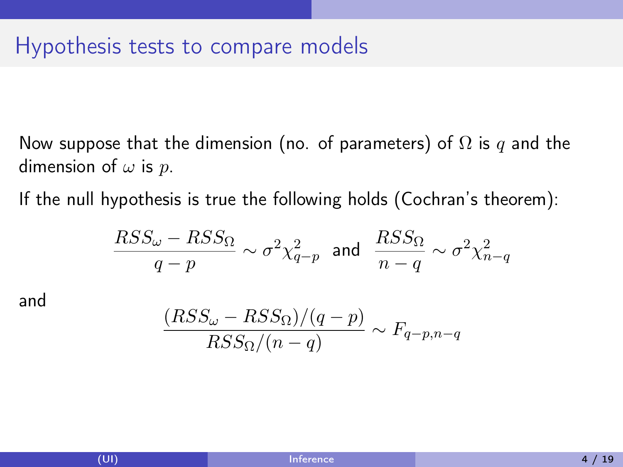Now suppose that the dimension (no. of parameters) of  $\Omega$  is q and the dimension of  $\omega$  is  $p$ .

If the null hypothesis is true the following holds (Cochran's theorem):

$$
\frac{RSS_{\omega} - RSS_{\Omega}}{q - p} \sim \sigma^2 \chi^2_{q-p} \text{ and } \frac{RSS_{\Omega}}{n - q} \sim \sigma^2 \chi^2_{n - q}
$$

and

$$
\frac{(RSS_{\omega} - RSS_{\Omega})/(q-p)}{RSS_{\Omega}/(n-q)} \sim F_{q-p,n-q}
$$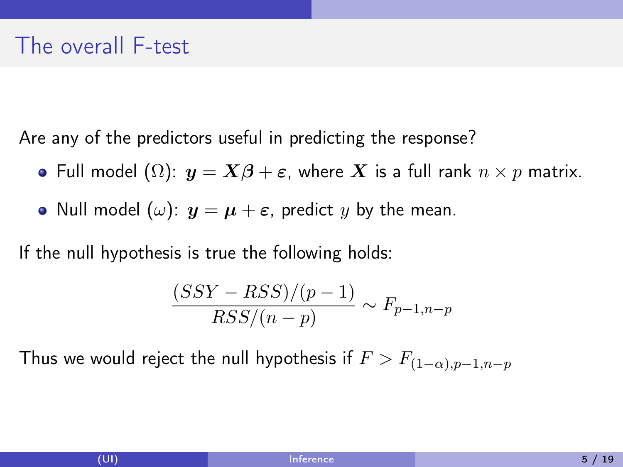Are any of the predictors useful in predicting the response?

- Full model  $(\Omega)$ :  $y = X\beta + \varepsilon$ , where X is a full rank  $n \times p$  matrix.
- Null model ( $\omega$ ):  $y = \mu + \varepsilon$ , predict y by the mean.

If the null hypothesis is true the following holds:

$$
\frac{(SSY - RSS)/(p-1)}{RSS/(n-p)} \sim F_{p-1,n-p}
$$

Thus we would reject the null hypothesis if  $F > F_{(1-\alpha),p-1,n-p}$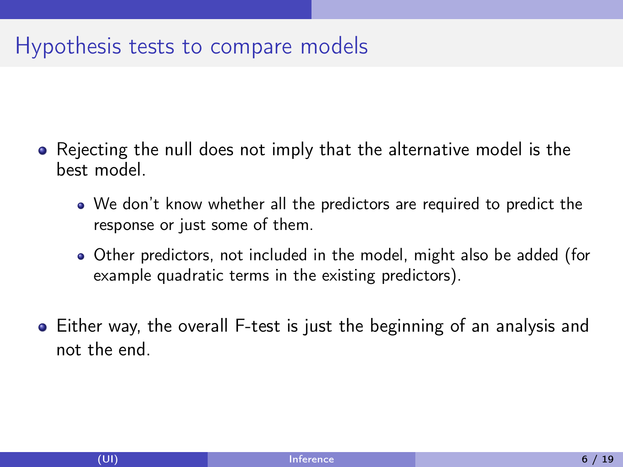### Hypothesis tests to compare models

- Rejecting the null does not imply that the alternative model is the best model.
	- We don't know whether all the predictors are required to predict the response or just some of them.
	- Other predictors, not included in the model, might also be added (for example quadratic terms in the existing predictors).
- Either way, the overall F-test is just the beginning of an analysis and not the end.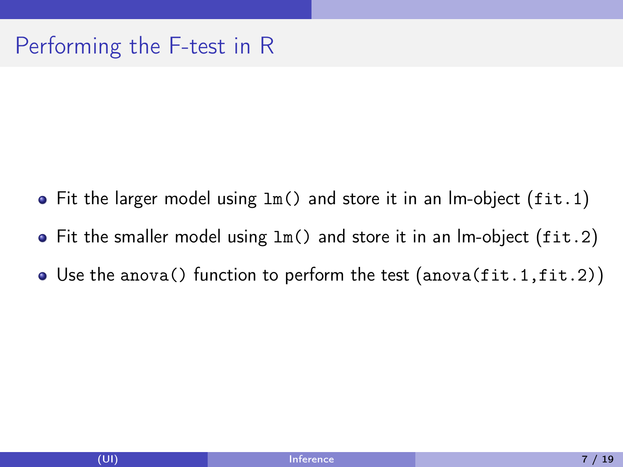## Performing the F-test in R

- $\bullet$  Fit the larger model using  $lm()$  and store it in an lm-object (fit. 1)
- Fit the smaller model using lm() and store it in an lm-object (fit.2)
- Use the anova() function to perform the test (anova(fit.1,fit.2))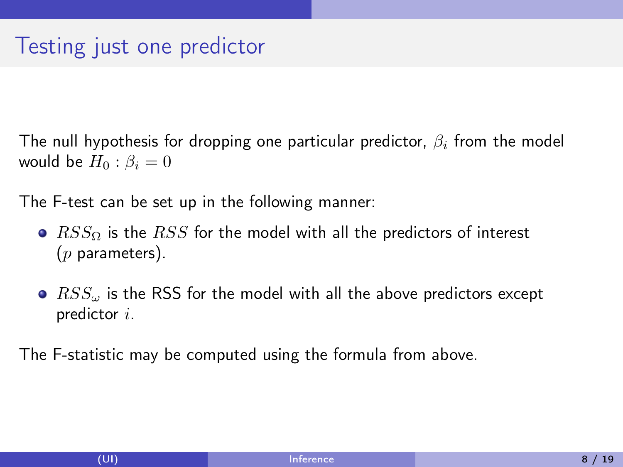The null hypothesis for dropping one particular predictor,  $\beta_i$  from the model would be  $H_0$ :  $\beta_i = 0$ 

The F-test can be set up in the following manner:

- $RSS_{\Omega}$  is the RSS for the model with all the predictors of interest  $(p$  parameters).
- $\bullet$   $RSS_{\omega}$  is the RSS for the model with all the above predictors except predictor i.

The F-statistic may be computed using the formula from above.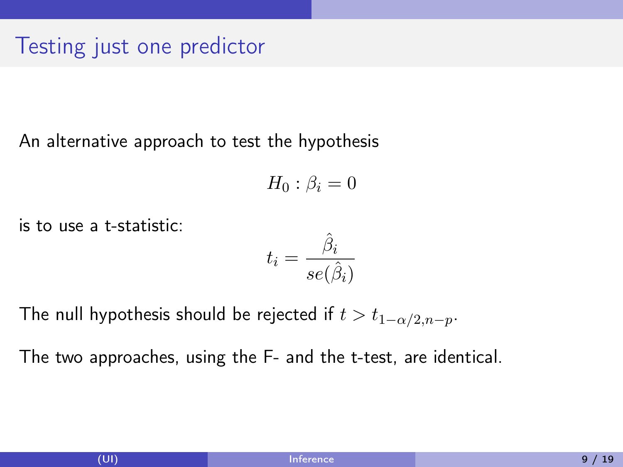### Testing just one predictor

#### An alternative approach to test the hypothesis

$$
H_0: \beta_i=0
$$

is to use a t-statistic:

$$
t_i = \frac{\hat{\beta}_i}{se(\hat{\beta}_i)}
$$

The null hypothesis should be rejected if  $t>t_{1-\alpha/2,n-p}.$ 

The two approaches, using the F- and the t-test, are identical.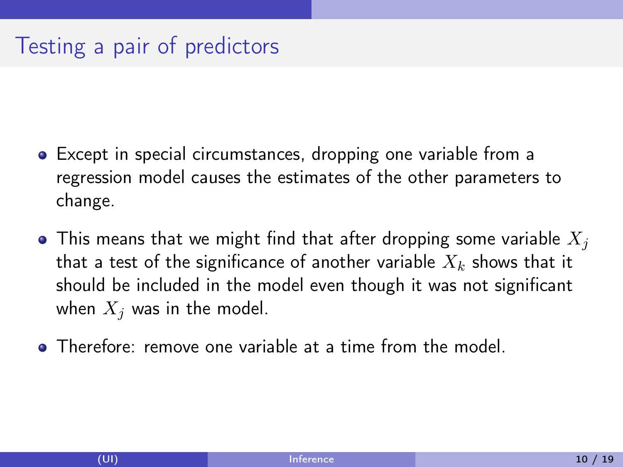## Testing a pair of predictors

- Except in special circumstances, dropping one variable from a regression model causes the estimates of the other parameters to change.
- This means that we might find that after dropping some variable  $X_i$ that a test of the significance of another variable  $X_k$  shows that it should be included in the model even though it was not significant when  $X_i$  was in the model.
- Therefore: remove one variable at a time from the model.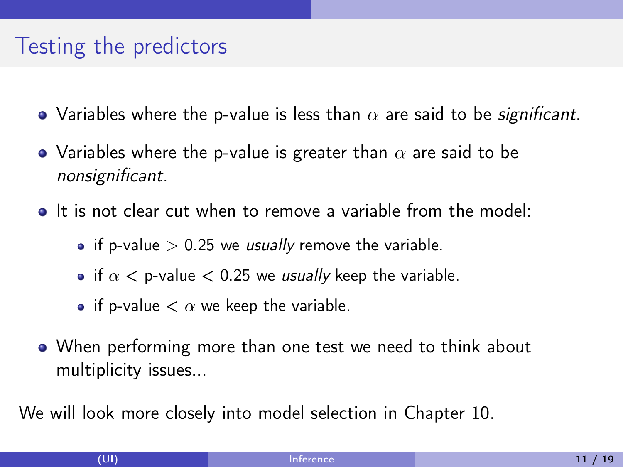### Testing the predictors

- Variables where the p-value is less than  $\alpha$  are said to be *significant*.
- Variables where the p-value is greater than  $\alpha$  are said to be nonsignificant.
- It is not clear cut when to remove a variable from the model:
	- if p-value  $> 0.25$  we *usually* remove the variable.
	- if  $\alpha$  < p-value < 0.25 we usually keep the variable.
	- if p-value  $< \alpha$  we keep the variable.
- When performing more than one test we need to think about multiplicity issues...

We will look more closely into model selection in Chapter 10.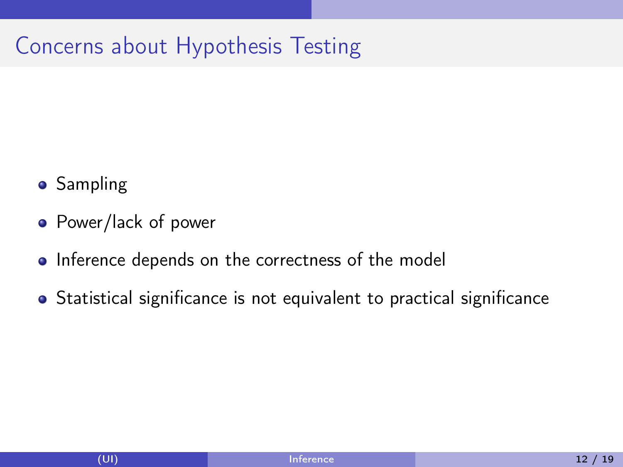## Concerns about Hypothesis Testing

- **•** Sampling
- Power/lack of power
- Inference depends on the correctness of the model
- Statistical significance is not equivalent to practical significance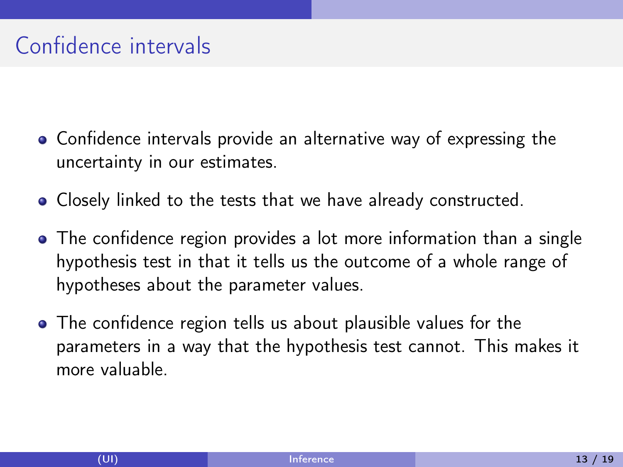## Confidence intervals

- Confidence intervals provide an alternative way of expressing the uncertainty in our estimates.
- Closely linked to the tests that we have already constructed.
- The confidence region provides a lot more information than a single hypothesis test in that it tells us the outcome of a whole range of hypotheses about the parameter values.
- The confidence region tells us about plausible values for the parameters in a way that the hypothesis test cannot. This makes it more valuable.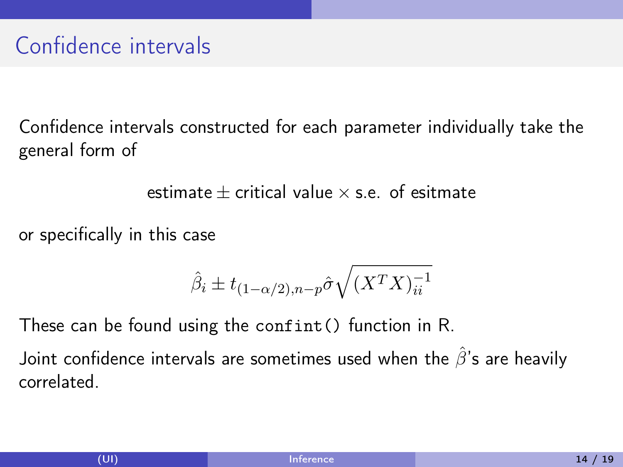Confidence intervals constructed for each parameter individually take the general form of

estimate  $\pm$  critical value  $\times$  s.e. of esitmate

or specifically in this case

$$
\hat{\beta}_i \pm t_{(1-\alpha/2),n-p} \hat{\sigma} \sqrt{(X^T X)^{-1}_{ii}}
$$

These can be found using the confint() function in R. Joint confidence intervals are sometimes used when the  $\hat{\beta}$ 's are heavily correlated.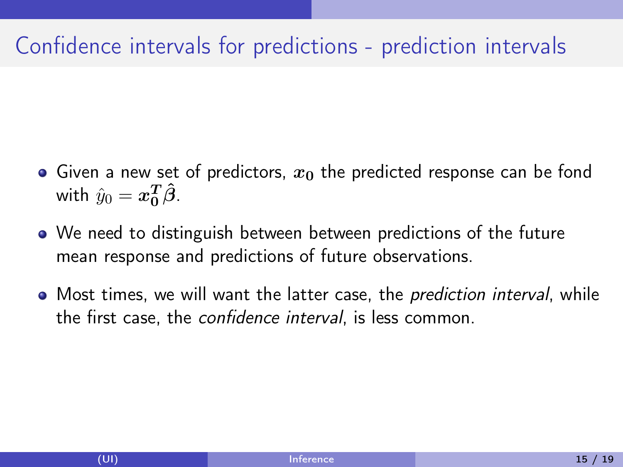## Confidence intervals for predictions - prediction intervals

- Given a new set of predictors,  $x_0$  the predicted response can be fond with  $\hat{y}_0 = \boldsymbol{x_0^T}\boldsymbol{\hat{\beta}}$ .
- We need to distinguish between between predictions of the future mean response and predictions of future observations.
- Most times, we will want the latter case, the *prediction interval*, while the first case, the confidence interval, is less common.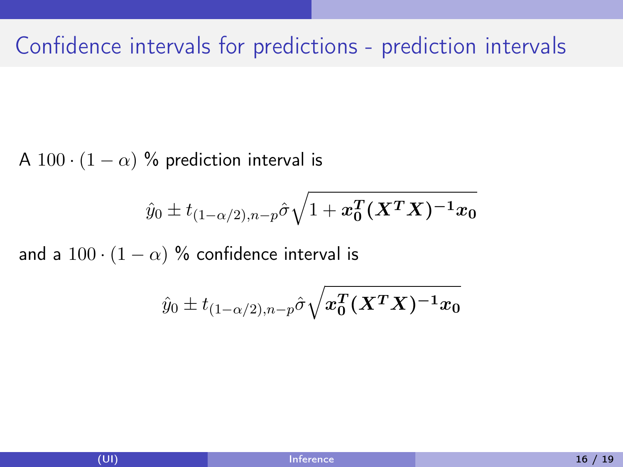#### Confidence intervals for predictions - prediction intervals

A 100 ·  $(1 - \alpha)$  % prediction interval is

$$
\hat{y}_0 \pm t_{(1-\alpha/2),n-p} \hat{\sigma}\sqrt{1 + \pmb{x_0^T}(\pmb{X^T X})^{-1}\pmb{x_0}}
$$

and a  $100 \cdot (1 - \alpha)$  % confidence interval is

$$
\hat{y}_0\pm t_{(1-\alpha/2),n-p}\hat{\sigma}\sqrt{x_0^T(\boldsymbol X^T\boldsymbol X)^{-1}x_0}
$$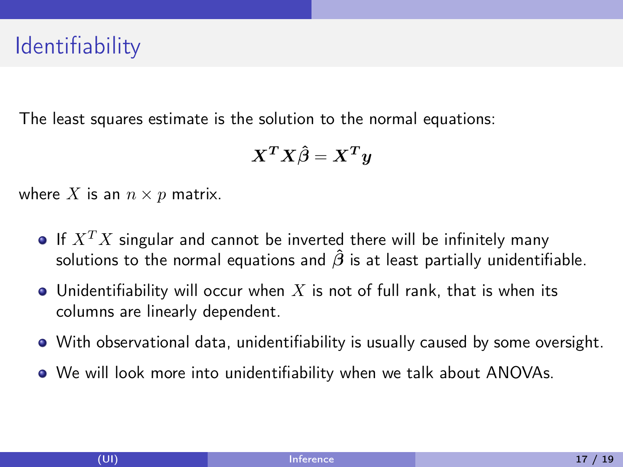## **Identifiability**

The least squares estimate is the solution to the normal equations:

$$
X^TX\hat{\beta} = X^Ty
$$

where X is an  $n \times p$  matrix.

- If  $X^T X$  singular and cannot be inverted there will be infinitely many solutions to the normal equations and  $\hat{\beta}$  is at least partially unidentifiable.
- $\bullet$  Unidentifiability will occur when X is not of full rank, that is when its columns are linearly dependent.
- With observational data, unidentifiability is usually caused by some oversight.
- We will look more into unidentifiability when we talk about ANOVAs.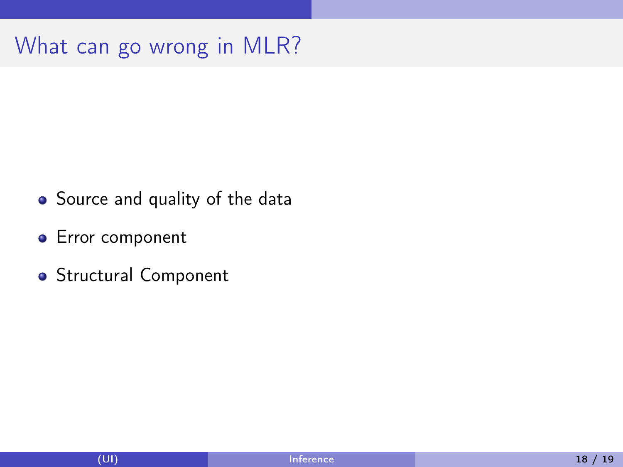## What can go wrong in MLR?

- Source and quality of the data
- **•** Error component
- Structural Component